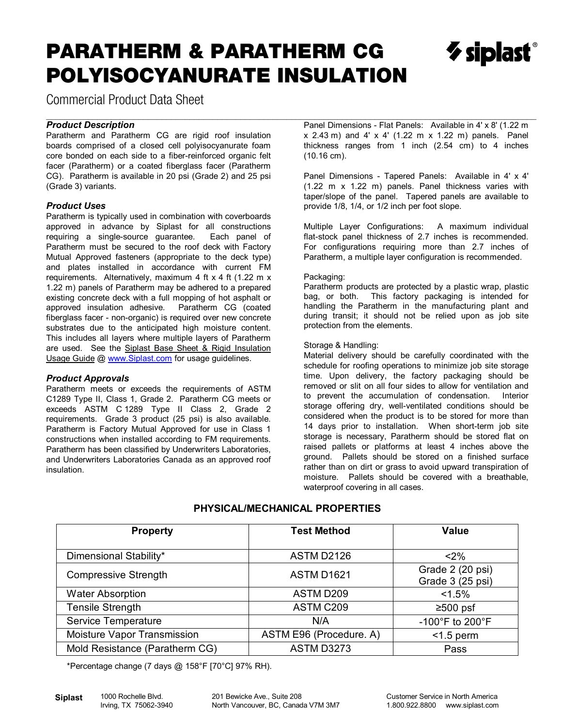## PARATHERM & PARATHERM CG POLYISOCYANURATE INSULATION

 $\gamma$  siplast

Commercial Product Data Sheet

#### \_\_\_\_\_\_\_\_\_\_\_\_\_\_\_\_\_\_\_\_\_\_\_\_\_\_\_\_\_\_\_\_\_\_\_\_\_\_\_\_\_\_\_\_\_\_\_\_\_\_\_\_\_\_\_\_\_\_\_\_\_\_\_\_\_\_\_\_\_\_\_\_\_\_\_\_\_\_\_\_\_\_\_\_\_\_\_\_\_\_\_\_\_\_\_\_\_\_\_\_\_\_\_\_\_\_ *Product Description*

Paratherm and Paratherm CG are rigid roof insulation boards comprised of a closed cell polyisocyanurate foam core bonded on each side to a fiber-reinforced organic felt facer (Paratherm) or a coated fiberglass facer (Paratherm CG). Paratherm is available in 20 psi (Grade 2) and 25 psi (Grade 3) variants.

#### *Product Uses*

Paratherm is typically used in combination with coverboards approved in advance by Siplast for all constructions<br>requiring a single-source guarantee. Each panel of requiring a single-source guarantee. Paratherm must be secured to the roof deck with Factory Mutual Approved fasteners (appropriate to the deck type) and plates installed in accordance with current FM requirements. Alternatively, maximum 4 ft x 4 ft (1.22 m x 1.22 m) panels of Paratherm may be adhered to a prepared existing concrete deck with a full mopping of hot asphalt or approved insulation adhesive. Paratherm CG (coated fiberglass facer - non-organic) is required over new concrete substrates due to the anticipated high moisture content. This includes all layers where multiple layers of Paratherm are used. See the Siplast Base Sheet & Rigid Insulation Usage Guide @ www.Siplast.com for usage guidelines.

#### *Product Approvals*

Paratherm meets or exceeds the requirements of ASTM C1289 Type II, Class 1, Grade 2. Paratherm CG meets or exceeds ASTM C 1289 Type II Class 2, Grade 2 requirements. Grade 3 product (25 psi) is also available. Paratherm is Factory Mutual Approved for use in Class 1 constructions when installed according to FM requirements. Paratherm has been classified by Underwriters Laboratories, and Underwriters Laboratories Canada as an approved roof insulation.

Panel Dimensions - Flat Panels: Available in 4' x 8' (1.22 m x 2.43 m) and 4' x 4' (1.22 m x 1.22 m) panels. Panel thickness ranges from 1 inch (2.54 cm) to 4 inches (10.16 cm).

Panel Dimensions - Tapered Panels: Available in 4' x 4' (1.22 m x 1.22 m) panels. Panel thickness varies with taper/slope of the panel. Tapered panels are available to provide 1/8, 1/4, or 1/2 inch per foot slope.

Multiple Layer Configurations: A maximum individual flat-stock panel thickness of 2.7 inches is recommended. For configurations requiring more than 2.7 inches of Paratherm, a multiple layer configuration is recommended.

#### Packaging:

Paratherm products are protected by a plastic wrap, plastic bag, or both. This factory packaging is intended for handling the Paratherm in the manufacturing plant and during transit; it should not be relied upon as job site protection from the elements.

#### Storage & Handling:

Material delivery should be carefully coordinated with the schedule for roofing operations to minimize job site storage time. Upon delivery, the factory packaging should be removed or slit on all four sides to allow for ventilation and to prevent the accumulation of condensation. Interior storage offering dry, well-ventilated conditions should be considered when the product is to be stored for more than 14 days prior to installation. When short-term job site storage is necessary, Paratherm should be stored flat on raised pallets or platforms at least 4 inches above the ground. Pallets should be stored on a finished surface rather than on dirt or grass to avoid upward transpiration of moisture. Pallets should be covered with a breathable, waterproof covering in all cases.

| <b>Property</b>                | <b>Test Method</b>      | <b>Value</b>                         |
|--------------------------------|-------------------------|--------------------------------------|
| Dimensional Stability*         | <b>ASTM D2126</b>       | $2\%$                                |
| <b>Compressive Strength</b>    | <b>ASTM D1621</b>       | Grade 2 (20 psi)<br>Grade 3 (25 psi) |
| <b>Water Absorption</b>        | ASTM D209               | $< 1.5\%$                            |
| <b>Tensile Strength</b>        | ASTM C209               | $≥500$ psf                           |
| <b>Service Temperature</b>     | N/A                     | -100°F to 200°F                      |
| Moisture Vapor Transmission    | ASTM E96 (Procedure. A) | $<$ 1.5 perm                         |
| Mold Resistance (Paratherm CG) | ASTM D3273              | Pass                                 |

## **PHYSICAL/MECHANICAL PROPERTIES**

\*Percentage change (7 days @ 158°F [70°C] 97% RH).